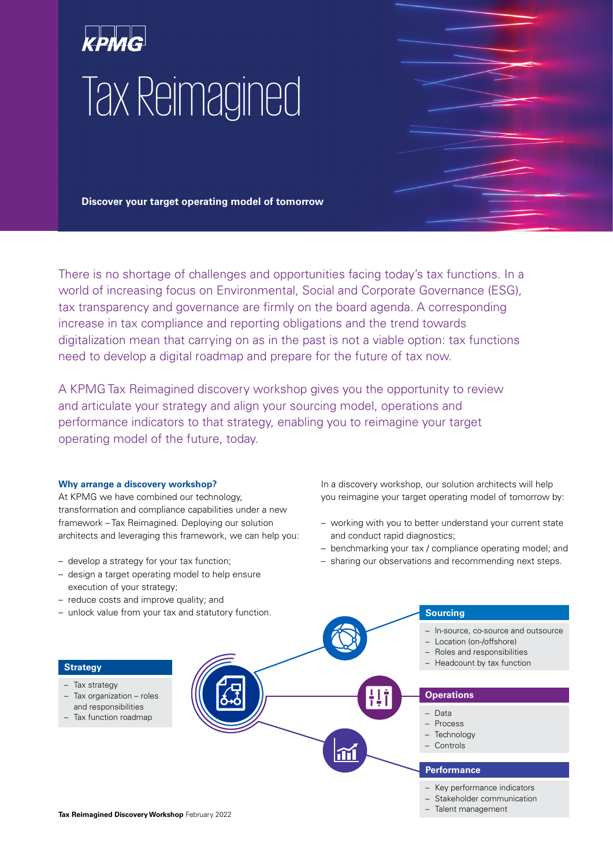# Tax Reimagined

**Discover your target operating model of tomorrow**

There is no shortage of challenges and opportunities facing today's tax functions. In a world of increasing focus on Environmental, Social and Corporate Governance (ESG), tax transparency and governance are firmly on the board agenda. A corresponding increase in tax compliance and reporting obligations and the trend towards digitalization mean that carrying on as in the past is not a viable option: tax functions need to develop a digital roadmap and prepare for the future of tax now.

A KPMG Tax Reimagined discovery workshop gives you the opportunity to review and articulate your strategy and align your sourcing model, operations and performance indicators to that strategy, enabling you to reimagine your target operating model of the future, today.

# **Why arrange a discovery workshop?**

At KPMG we have combined our technology, transformation and compliance capabilities under a new framework – Tax Reimagined. Deploying our solution architects and leveraging this framework, we can help you:

- develop a strategy for your tax function;
- design a target operating model to help ensure execution of your strategy;
- reduce costs and improve quality; and
- 

In a discovery workshop, our solution architects will help you reimagine your target operating model of tomorrow by:

- working with you to better understand your current state and conduct rapid diagnostics;
- benchmarking your tax / compliance operating model; and
- sharing our observations and recommending next steps.